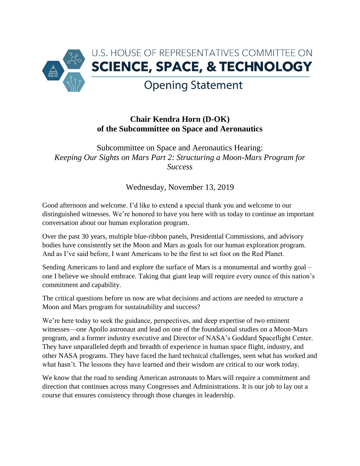

## **Chair Kendra Horn (D-OK) of the Subcommittee on Space and Aeronautics**

Subcommittee on Space and Aeronautics Hearing: *Keeping Our Sights on Mars Part 2: Structuring a Moon-Mars Program for Success*

Wednesday, November 13, 2019

Good afternoon and welcome. I'd like to extend a special thank you and welcome to our distinguished witnesses. We're honored to have you here with us today to continue an important conversation about our human exploration program.

Over the past 30 years, multiple blue-ribbon panels, Presidential Commissions, and advisory bodies have consistently set the Moon and Mars as goals for our human exploration program. And as I've said before, I want Americans to be the first to set foot on the Red Planet.

Sending Americans to land and explore the surface of Mars is a monumental and worthy goal – one I believe we should embrace. Taking that giant leap will require every ounce of this nation's commitment and capability.

The critical questions before us now are what decisions and actions are needed to structure a Moon and Mars program for sustainability and success?

We're here today to seek the guidance, perspectives, and deep expertise of two eminent witnesses—one Apollo astronaut and lead on one of the foundational studies on a Moon-Mars program, and a former industry executive and Director of NASA's Goddard Spaceflight Center. They have unparalleled depth and breadth of experience in human space flight, industry, and other NASA programs. They have faced the hard technical challenges, seen what has worked and what hasn't. The lessons they have learned and their wisdom are critical to our work today.

We know that the road to sending American astronauts to Mars will require a commitment and direction that continues across many Congresses and Administrations. It is our job to lay out a course that ensures consistency through those changes in leadership.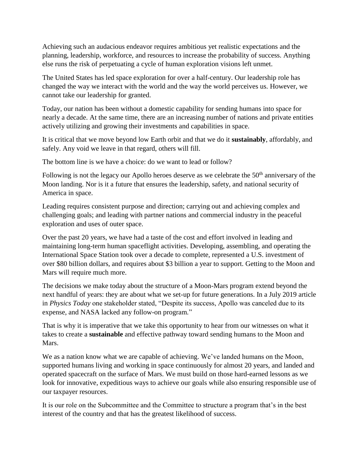Achieving such an audacious endeavor requires ambitious yet realistic expectations and the planning, leadership, workforce, and resources to increase the probability of success. Anything else runs the risk of perpetuating a cycle of human exploration visions left unmet.

The United States has led space exploration for over a half-century. Our leadership role has changed the way we interact with the world and the way the world perceives us. However, we cannot take our leadership for granted.

Today, our nation has been without a domestic capability for sending humans into space for nearly a decade. At the same time, there are an increasing number of nations and private entities actively utilizing and growing their investments and capabilities in space.

It is critical that we move beyond low Earth orbit and that we do it **sustainably**, affordably, and safely. Any void we leave in that regard, others will fill.

The bottom line is we have a choice: do we want to lead or follow?

Following is not the legacy our Apollo heroes deserve as we celebrate the  $50<sup>th</sup>$  anniversary of the Moon landing. Nor is it a future that ensures the leadership, safety, and national security of America in space.

Leading requires consistent purpose and direction; carrying out and achieving complex and challenging goals; and leading with partner nations and commercial industry in the peaceful exploration and uses of outer space.

Over the past 20 years, we have had a taste of the cost and effort involved in leading and maintaining long-term human spaceflight activities. Developing, assembling, and operating the International Space Station took over a decade to complete, represented a U.S. investment of over \$80 billion dollars, and requires about \$3 billion a year to support. Getting to the Moon and Mars will require much more.

The decisions we make today about the structure of a Moon-Mars program extend beyond the next handful of years: they are about what we set-up for future generations. In a July 2019 article in *Physics Today* one stakeholder stated, "Despite its success, Apollo was canceled due to its expense, and NASA lacked any follow-on program*.*"

That is why it is imperative that we take this opportunity to hear from our witnesses on what it takes to create a **sustainable** and effective pathway toward sending humans to the Moon and Mars.

We as a nation know what we are capable of achieving. We've landed humans on the Moon, supported humans living and working in space continuously for almost 20 years, and landed and operated spacecraft on the surface of Mars. We must build on those hard-earned lessons as we look for innovative, expeditious ways to achieve our goals while also ensuring responsible use of our taxpayer resources.

It is our role on the Subcommittee and the Committee to structure a program that's in the best interest of the country and that has the greatest likelihood of success.